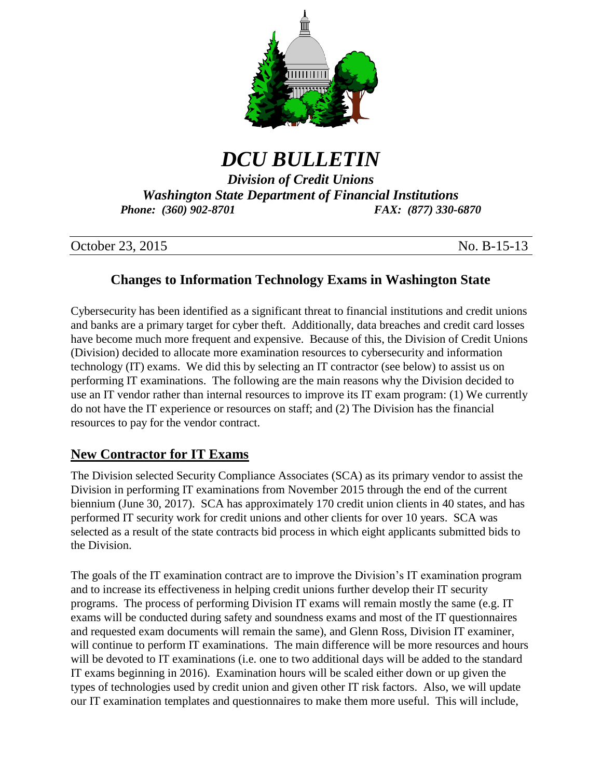

# *DCU BULLETIN*

*Division of Credit Unions Washington State Department of Financial Institutions Phone: (360) 902-8701 FAX: (877) 330-6870*

| October 23, 2015 | No. B-15-13 |
|------------------|-------------|
|------------------|-------------|

### **Changes to Information Technology Exams in Washington State**

Cybersecurity has been identified as a significant threat to financial institutions and credit unions and banks are a primary target for cyber theft. Additionally, data breaches and credit card losses have become much more frequent and expensive. Because of this, the Division of Credit Unions (Division) decided to allocate more examination resources to cybersecurity and information technology (IT) exams. We did this by selecting an IT contractor (see below) to assist us on performing IT examinations. The following are the main reasons why the Division decided to use an IT vendor rather than internal resources to improve its IT exam program: (1) We currently do not have the IT experience or resources on staff; and (2) The Division has the financial resources to pay for the vendor contract.

#### **New Contractor for IT Exams**

The Division selected Security Compliance Associates (SCA) as its primary vendor to assist the Division in performing IT examinations from November 2015 through the end of the current biennium (June 30, 2017). SCA has approximately 170 credit union clients in 40 states, and has performed IT security work for credit unions and other clients for over 10 years. SCA was selected as a result of the state contracts bid process in which eight applicants submitted bids to the Division.

The goals of the IT examination contract are to improve the Division's IT examination program and to increase its effectiveness in helping credit unions further develop their IT security programs. The process of performing Division IT exams will remain mostly the same (e.g. IT exams will be conducted during safety and soundness exams and most of the IT questionnaires and requested exam documents will remain the same), and Glenn Ross, Division IT examiner, will continue to perform IT examinations. The main difference will be more resources and hours will be devoted to IT examinations (i.e. one to two additional days will be added to the standard IT exams beginning in 2016). Examination hours will be scaled either down or up given the types of technologies used by credit union and given other IT risk factors. Also, we will update our IT examination templates and questionnaires to make them more useful. This will include,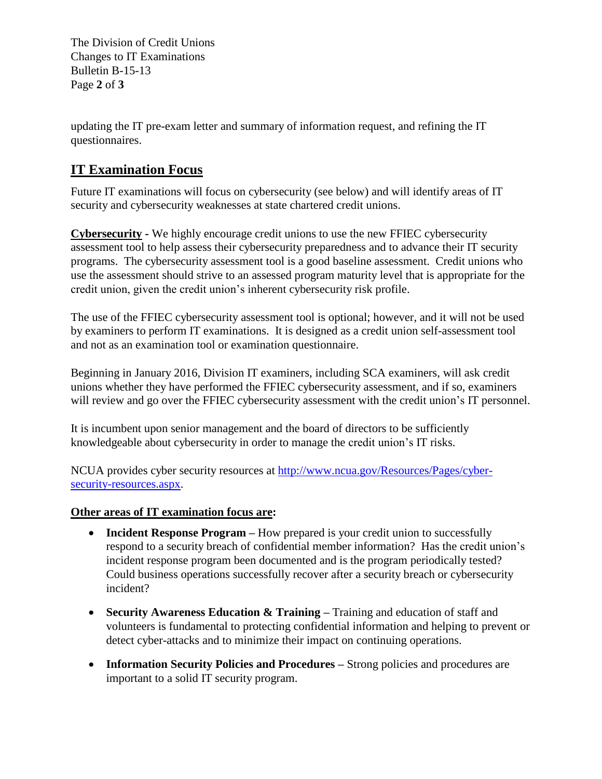The Division of Credit Unions Changes to IT Examinations Bulletin B-15-13 Page **2** of **3**

updating the IT pre-exam letter and summary of information request, and refining the IT questionnaires.

## **IT Examination Focus**

Future IT examinations will focus on cybersecurity (see below) and will identify areas of IT security and cybersecurity weaknesses at state chartered credit unions.

**Cybersecurity -** We highly encourage credit unions to use the new FFIEC cybersecurity assessment tool to help assess their cybersecurity preparedness and to advance their IT security programs. The cybersecurity assessment tool is a good baseline assessment. Credit unions who use the assessment should strive to an assessed program maturity level that is appropriate for the credit union, given the credit union's inherent cybersecurity risk profile.

The use of the FFIEC cybersecurity assessment tool is optional; however, and it will not be used by examiners to perform IT examinations. It is designed as a credit union self-assessment tool and not as an examination tool or examination questionnaire.

Beginning in January 2016, Division IT examiners, including SCA examiners, will ask credit unions whether they have performed the FFIEC cybersecurity assessment, and if so, examiners will review and go over the FFIEC cybersecurity assessment with the credit union's IT personnel.

It is incumbent upon senior management and the board of directors to be sufficiently knowledgeable about cybersecurity in order to manage the credit union's IT risks.

NCUA provides cyber security resources at [http://www.ncua.gov/Resources/Pages/cyber](http://www.ncua.gov/Resources/Pages/cyber-security-resources.aspx)[security-resources.aspx.](http://www.ncua.gov/Resources/Pages/cyber-security-resources.aspx)

#### **Other areas of IT examination focus are:**

- **Incident Response Program –** How prepared is your credit union to successfully respond to a security breach of confidential member information? Has the credit union's incident response program been documented and is the program periodically tested? Could business operations successfully recover after a security breach or cybersecurity incident?
- **Security Awareness Education & Training –** Training and education of staff and volunteers is fundamental to protecting confidential information and helping to prevent or detect cyber-attacks and to minimize their impact on continuing operations.
- **Information Security Policies and Procedures –** Strong policies and procedures are important to a solid IT security program.